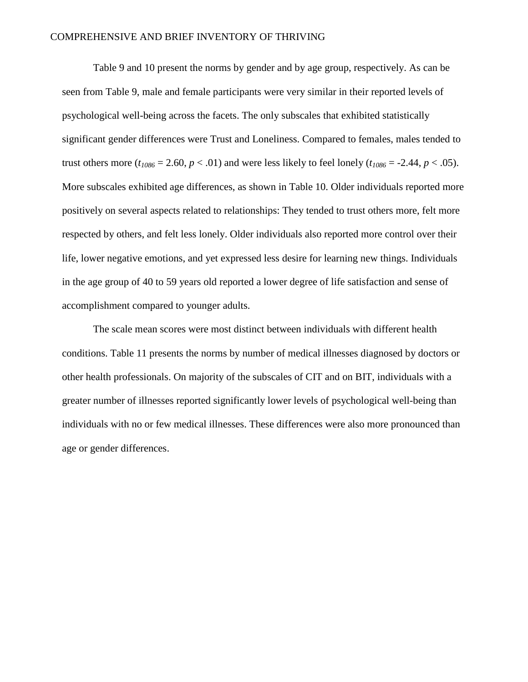Table 9 and 10 present the norms by gender and by age group, respectively. As can be seen from Table 9, male and female participants were very similar in their reported levels of psychological well-being across the facets. The only subscales that exhibited statistically significant gender differences were Trust and Loneliness. Compared to females, males tended to trust others more  $(t_{1086} = 2.60, p < .01)$  and were less likely to feel lonely  $(t_{1086} = -2.44, p < .05)$ . More subscales exhibited age differences, as shown in Table 10. Older individuals reported more positively on several aspects related to relationships: They tended to trust others more, felt more respected by others, and felt less lonely. Older individuals also reported more control over their life, lower negative emotions, and yet expressed less desire for learning new things. Individuals in the age group of 40 to 59 years old reported a lower degree of life satisfaction and sense of accomplishment compared to younger adults.

The scale mean scores were most distinct between individuals with different health conditions. Table 11 presents the norms by number of medical illnesses diagnosed by doctors or other health professionals. On majority of the subscales of CIT and on BIT, individuals with a greater number of illnesses reported significantly lower levels of psychological well-being than individuals with no or few medical illnesses. These differences were also more pronounced than age or gender differences.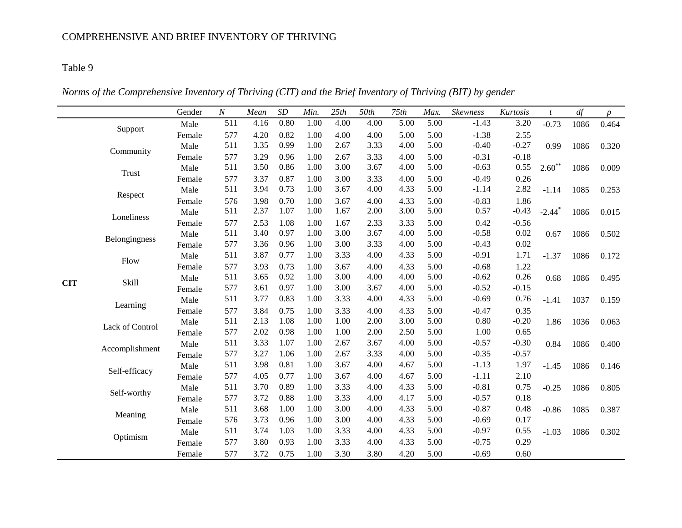*Norms of the Comprehensive Inventory of Thriving (CIT) and the Brief Inventory of Thriving (BIT) by gender*

|            |                 | Gender | $\cal N$ | Mean | SD   | Min. | 25th | 50th | 75th | Max. | Skewness | Kurtosis | $\mathfrak{t}$       | df   | $p_{\parallel}$ |
|------------|-----------------|--------|----------|------|------|------|------|------|------|------|----------|----------|----------------------|------|-----------------|
|            |                 | Male   | 511      | 4.16 | 0.80 | 1.00 | 4.00 | 4.00 | 5.00 | 5.00 | $-1.43$  | 3.20     | $-0.73$              | 1086 | 0.464           |
|            | Support         | Female | 577      | 4.20 | 0.82 | 1.00 | 4.00 | 4.00 | 5.00 | 5.00 | $-1.38$  | 2.55     |                      |      |                 |
|            | Community       | Male   | 511      | 3.35 | 0.99 | 1.00 | 2.67 | 3.33 | 4.00 | 5.00 | $-0.40$  | $-0.27$  | 0.99                 | 1086 | 0.320           |
|            |                 | Female | 577      | 3.29 | 0.96 | 1.00 | 2.67 | 3.33 | 4.00 | 5.00 | $-0.31$  | $-0.18$  |                      |      |                 |
|            | Trust           | Male   | 511      | 3.50 | 0.86 | 1.00 | 3.00 | 3.67 | 4.00 | 5.00 | $-0.63$  | 0.55     | $2.60**$             | 1086 | 0.009           |
|            |                 | Female | 577      | 3.37 | 0.87 | 1.00 | 3.00 | 3.33 | 4.00 | 5.00 | $-0.49$  | 0.26     |                      |      |                 |
|            | Respect         | Male   | 511      | 3.94 | 0.73 | 1.00 | 3.67 | 4.00 | 4.33 | 5.00 | $-1.14$  | 2.82     | $-1.14$              | 1085 | 0.253           |
|            |                 | Female | 576      | 3.98 | 0.70 | 1.00 | 3.67 | 4.00 | 4.33 | 5.00 | $-0.83$  | 1.86     |                      |      |                 |
|            | Loneliness      | Male   | 511      | 2.37 | 1.07 | 1.00 | 1.67 | 2.00 | 3.00 | 5.00 | 0.57     | $-0.43$  | $-2.44$ <sup>*</sup> | 1086 | 0.015           |
|            |                 | Female | 577      | 2.53 | 1.08 | 1.00 | 1.67 | 2.33 | 3.33 | 5.00 | 0.42     | $-0.56$  |                      |      |                 |
|            | Belongingness   | Male   | 511      | 3.40 | 0.97 | 1.00 | 3.00 | 3.67 | 4.00 | 5.00 | $-0.58$  | 0.02     | 0.67                 | 1086 | 0.502           |
|            |                 | Female | 577      | 3.36 | 0.96 | 1.00 | 3.00 | 3.33 | 4.00 | 5.00 | $-0.43$  | 0.02     |                      |      |                 |
|            | Flow            | Male   | 511      | 3.87 | 0.77 | 1.00 | 3.33 | 4.00 | 4.33 | 5.00 | $-0.91$  | 1.71     | $-1.37$              | 1086 | 0.172           |
|            |                 | Female | 577      | 3.93 | 0.73 | 1.00 | 3.67 | 4.00 | 4.33 | 5.00 | $-0.68$  | 1.22     |                      |      |                 |
| <b>CIT</b> | Skill           | Male   | 511      | 3.65 | 0.92 | 1.00 | 3.00 | 4.00 | 4.00 | 5.00 | $-0.62$  | 0.26     | 0.68                 | 1086 | 0.495           |
|            |                 | Female | 577      | 3.61 | 0.97 | 1.00 | 3.00 | 3.67 | 4.00 | 5.00 | $-0.52$  | $-0.15$  |                      |      |                 |
|            | Learning        | Male   | 511      | 3.77 | 0.83 | 1.00 | 3.33 | 4.00 | 4.33 | 5.00 | $-0.69$  | 0.76     | $-1.41$              | 1037 | 0.159           |
|            |                 | Female | 577      | 3.84 | 0.75 | 1.00 | 3.33 | 4.00 | 4.33 | 5.00 | $-0.47$  | 0.35     |                      |      |                 |
|            | Lack of Control | Male   | 511      | 2.13 | 1.08 | 1.00 | 1.00 | 2.00 | 3.00 | 5.00 | 0.80     | $-0.20$  | 1.86                 | 1036 | 0.063           |
|            |                 | Female | 577      | 2.02 | 0.98 | 1.00 | 1.00 | 2.00 | 2.50 | 5.00 | 1.00     | 0.65     |                      |      |                 |
|            | Accomplishment  | Male   | 511      | 3.33 | 1.07 | 1.00 | 2.67 | 3.67 | 4.00 | 5.00 | $-0.57$  | $-0.30$  | 0.84                 | 1086 | 0.400           |
|            |                 | Female | 577      | 3.27 | 1.06 | 1.00 | 2.67 | 3.33 | 4.00 | 5.00 | $-0.35$  | $-0.57$  |                      |      |                 |
|            | Self-efficacy   | Male   | 511      | 3.98 | 0.81 | 1.00 | 3.67 | 4.00 | 4.67 | 5.00 | $-1.13$  | 1.97     | $-1.45$              | 1086 | 0.146           |
|            |                 | Female | 577      | 4.05 | 0.77 | 1.00 | 3.67 | 4.00 | 4.67 | 5.00 | $-1.11$  | 2.10     |                      |      |                 |
|            | Self-worthy     | Male   | 511      | 3.70 | 0.89 | 1.00 | 3.33 | 4.00 | 4.33 | 5.00 | $-0.81$  | 0.75     | $-0.25$              | 1086 | 0.805           |
|            |                 | Female | 577      | 3.72 | 0.88 | 1.00 | 3.33 | 4.00 | 4.17 | 5.00 | $-0.57$  | 0.18     |                      |      |                 |
|            | Meaning         | Male   | 511      | 3.68 | 1.00 | 1.00 | 3.00 | 4.00 | 4.33 | 5.00 | $-0.87$  | 0.48     | $-0.86$              | 1085 | 0.387           |
|            |                 | Female | 576      | 3.73 | 0.96 | 1.00 | 3.00 | 4.00 | 4.33 | 5.00 | $-0.69$  | 0.17     |                      |      |                 |
|            | Optimism        | Male   | 511      | 3.74 | 1.03 | 1.00 | 3.33 | 4.00 | 4.33 | 5.00 | $-0.97$  | 0.55     | $-1.03$              | 1086 | 0.302           |
|            |                 | Female | 577      | 3.80 | 0.93 | 1.00 | 3.33 | 4.00 | 4.33 | 5.00 | $-0.75$  | 0.29     |                      |      |                 |
|            |                 | Female | 577      | 3.72 | 0.75 | 1.00 | 3.30 | 3.80 | 4.20 | 5.00 | $-0.69$  | 0.60     |                      |      |                 |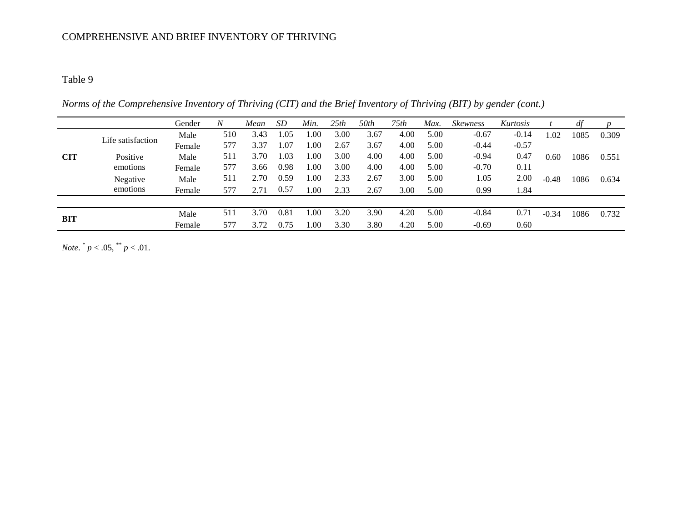#### Table 9

*Norms of the Comprehensive Inventory of Thriving (CIT) and the Brief Inventory of Thriving (BIT) by gender (cont.)*

|            |                   | Gender | $\boldsymbol{N}$ | Mean | SD   | Min. | 25th | 50th | 75th | Max. | <i><b>Skewness</b></i> | Kurtosis |         |      |       |
|------------|-------------------|--------|------------------|------|------|------|------|------|------|------|------------------------|----------|---------|------|-------|
|            | Life satisfaction | Male   | 510              | 3.43 | .05  | .00  | 3.00 | 3.67 | 4.00 | 5.00 | $-0.67$                | $-0.14$  | L.02    | 1085 | 0.309 |
|            |                   | Female | 577              | 3.37 | .07  | .00. | 2.67 | 3.67 | 4.00 | 5.00 | $-0.44$                | $-0.57$  |         |      |       |
| <b>CIT</b> | Positive          | Male   | 511              | 3.70 | .03  | 1.00 | 3.00 | 4.00 | 4.00 | 5.00 | $-0.94$                | 0.47     | 0.60    | 1086 | 0.551 |
|            | emotions          | Female | 577              | 3.66 | 0.98 | 00.1 | 3.00 | 4.00 | 4.00 | 5.00 | $-0.70$                | 0.11     |         |      |       |
|            | Negative          | Male   | 511              | 2.70 | 0.59 | .00. | 2.33 | 2.67 | 3.00 | 5.00 | 1.05                   | 2.00     | $-0.48$ | 1086 | 0.634 |
|            | emotions          | Female | 577              | 2.71 | 0.57 | 1.00 | 2.33 | 2.67 | 3.00 | 5.00 | 0.99                   | 1.84     |         |      |       |
|            |                   |        |                  |      |      |      |      |      |      |      |                        |          |         |      |       |
|            |                   | Male   | 511              | 3.70 | 0.81 | .00  | 3.20 | 3.90 | 4.20 | 5.00 | $-0.84$                | 0.71     | $-0.34$ | 1086 | 0.732 |
| BIT        |                   | Female | 577              | 3.72 | 0.75 | .00  | 3.30 | 3.80 | 4.20 | 5.00 | $-0.69$                | 0.60     |         |      |       |

*Note.*  $^{*}p < .05, \frac{^{**}}{^*}p < .01$ .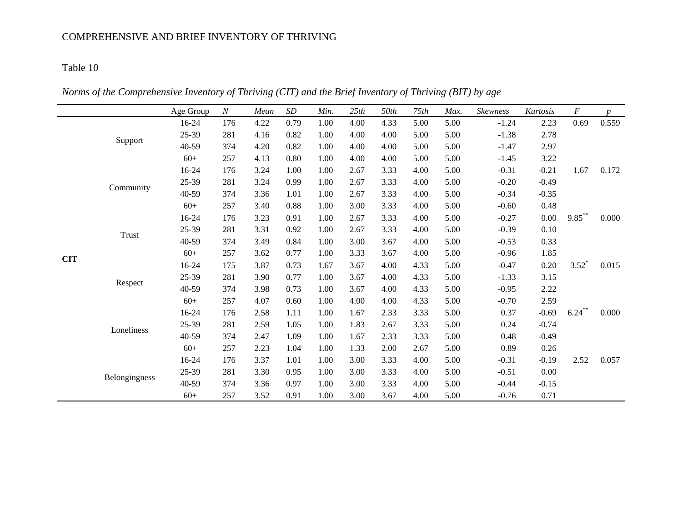*Norms of the Comprehensive Inventory of Thriving (CIT) and the Brief Inventory of Thriving (BIT) by age*

|            |               | Age Group | $\boldsymbol{N}$ | Mean | SD   | Min. | 25th | 50th | 75th | Max. | Skewness | Kurtosis | $\cal F$  | $\boldsymbol{p}$ |
|------------|---------------|-----------|------------------|------|------|------|------|------|------|------|----------|----------|-----------|------------------|
|            |               | 16-24     | 176              | 4.22 | 0.79 | 1.00 | 4.00 | 4.33 | 5.00 | 5.00 | $-1.24$  | 2.23     | 0.69      | 0.559            |
|            |               | 25-39     | 281              | 4.16 | 0.82 | 1.00 | 4.00 | 4.00 | 5.00 | 5.00 | $-1.38$  | 2.78     |           |                  |
|            | Support       | 40-59     | 374              | 4.20 | 0.82 | 1.00 | 4.00 | 4.00 | 5.00 | 5.00 | $-1.47$  | 2.97     |           |                  |
|            |               | $60+$     | 257              | 4.13 | 0.80 | 1.00 | 4.00 | 4.00 | 5.00 | 5.00 | $-1.45$  | 3.22     |           |                  |
|            |               | 16-24     | 176              | 3.24 | 1.00 | 1.00 | 2.67 | 3.33 | 4.00 | 5.00 | $-0.31$  | $-0.21$  | 1.67      | 0.172            |
|            | Community     | 25-39     | 281              | 3.24 | 0.99 | 1.00 | 2.67 | 3.33 | 4.00 | 5.00 | $-0.20$  | $-0.49$  |           |                  |
|            |               | 40-59     | 374              | 3.36 | 1.01 | 1.00 | 2.67 | 3.33 | 4.00 | 5.00 | $-0.34$  | $-0.35$  |           |                  |
|            |               | $60+$     | 257              | 3.40 | 0.88 | 1.00 | 3.00 | 3.33 | 4.00 | 5.00 | $-0.60$  | 0.48     |           |                  |
|            |               | 16-24     | 176              | 3.23 | 0.91 | 1.00 | 2.67 | 3.33 | 4.00 | 5.00 | $-0.27$  | 0.00     | $9.85***$ | 0.000            |
|            | Trust         | 25-39     | 281              | 3.31 | 0.92 | 1.00 | 2.67 | 3.33 | 4.00 | 5.00 | $-0.39$  | 0.10     |           |                  |
| <b>CIT</b> |               | 40-59     | 374              | 3.49 | 0.84 | 1.00 | 3.00 | 3.67 | 4.00 | 5.00 | $-0.53$  | 0.33     |           |                  |
|            |               | $60+$     | 257              | 3.62 | 0.77 | 1.00 | 3.33 | 3.67 | 4.00 | 5.00 | $-0.96$  | 1.85     |           |                  |
|            |               | 16-24     | 175              | 3.87 | 0.73 | 1.67 | 3.67 | 4.00 | 4.33 | 5.00 | $-0.47$  | 0.20     | $3.52*$   | 0.015            |
|            | Respect       | 25-39     | 281              | 3.90 | 0.77 | 1.00 | 3.67 | 4.00 | 4.33 | 5.00 | $-1.33$  | 3.15     |           |                  |
|            |               | 40-59     | 374              | 3.98 | 0.73 | 1.00 | 3.67 | 4.00 | 4.33 | 5.00 | $-0.95$  | 2.22     |           |                  |
|            |               | $60+$     | 257              | 4.07 | 0.60 | 1.00 | 4.00 | 4.00 | 4.33 | 5.00 | $-0.70$  | 2.59     |           |                  |
|            |               | 16-24     | 176              | 2.58 | 1.11 | 1.00 | 1.67 | 2.33 | 3.33 | 5.00 | 0.37     | $-0.69$  | $6.24***$ | 0.000            |
|            | Loneliness    | 25-39     | 281              | 2.59 | 1.05 | 1.00 | 1.83 | 2.67 | 3.33 | 5.00 | 0.24     | $-0.74$  |           |                  |
|            |               | 40-59     | 374              | 2.47 | 1.09 | 1.00 | 1.67 | 2.33 | 3.33 | 5.00 | 0.48     | $-0.49$  |           |                  |
|            |               | $60+$     | 257              | 2.23 | 1.04 | 1.00 | 1.33 | 2.00 | 2.67 | 5.00 | 0.89     | 0.26     |           |                  |
|            |               | 16-24     | 176              | 3.37 | 1.01 | 1.00 | 3.00 | 3.33 | 4.00 | 5.00 | $-0.31$  | $-0.19$  | 2.52      | 0.057            |
|            |               | 25-39     | 281              | 3.30 | 0.95 | 1.00 | 3.00 | 3.33 | 4.00 | 5.00 | $-0.51$  | 0.00     |           |                  |
|            | Belongingness | 40-59     | 374              | 3.36 | 0.97 | 1.00 | 3.00 | 3.33 | 4.00 | 5.00 | $-0.44$  | $-0.15$  |           |                  |
|            |               | $60+$     | 257              | 3.52 | 0.91 | 1.00 | 3.00 | 3.67 | 4.00 | 5.00 | $-0.76$  | 0.71     |           |                  |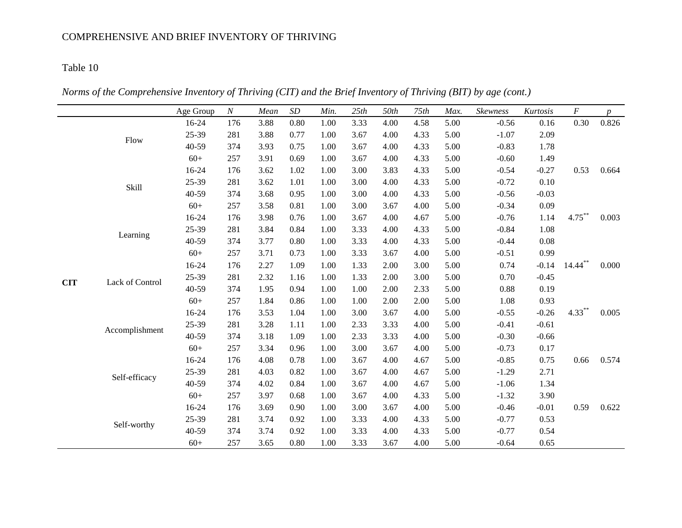*Norms of the Comprehensive Inventory of Thriving (CIT) and the Brief Inventory of Thriving (BIT) by age (cont.)*

|                              |                               | Age Group | $\boldsymbol{N}$ | Mean | $\cal SD$ | Min. | 25th | 50th | 75th | Max.    | Skewness | Kurtosis   | $\cal F$  | $\boldsymbol{p}$ |
|------------------------------|-------------------------------|-----------|------------------|------|-----------|------|------|------|------|---------|----------|------------|-----------|------------------|
|                              |                               | 16-24     | 176              | 3.88 | 0.80      | 1.00 | 3.33 | 4.00 | 4.58 | 5.00    | $-0.56$  | 0.16       | 0.30      | 0.826            |
|                              | Flow                          | 25-39     | 281              | 3.88 | 0.77      | 1.00 | 3.67 | 4.00 | 4.33 | 5.00    | $-1.07$  | 2.09       |           |                  |
|                              |                               | 40-59     | 374              | 3.93 | 0.75      | 1.00 | 3.67 | 4.00 | 4.33 | 5.00    | $-0.83$  | 1.78       |           |                  |
|                              |                               | $60+$     | 257              | 3.91 | 0.69      | 1.00 | 3.67 | 4.00 | 4.33 | 5.00    | $-0.60$  | 1.49       |           |                  |
|                              |                               | 16-24     | 176              | 3.62 | 1.02      | 1.00 | 3.00 | 3.83 | 4.33 | 5.00    | $-0.54$  | $-0.27$    | 0.53      | 0.664            |
|                              | Skill                         | 25-39     | 281              | 3.62 | 1.01      | 1.00 | 3.00 | 4.00 | 4.33 | 5.00    | $-0.72$  | 0.10       |           |                  |
|                              |                               | 40-59     | 374              | 3.68 | 0.95      | 1.00 | 3.00 | 4.00 | 4.33 | 5.00    | $-0.56$  | $-0.03$    |           |                  |
|                              |                               | $60+$     | 257              | 3.58 | 0.81      | 1.00 | 3.00 | 3.67 | 4.00 | 5.00    | $-0.34$  | 0.09       |           |                  |
|                              |                               | 16-24     | 176              | 3.98 | 0.76      | 1.00 | 3.67 | 4.00 | 4.67 | 5.00    | $-0.76$  | 1.14       | $4.75***$ | 0.003            |
| Learning                     |                               | 25-39     | 281              | 3.84 | 0.84      | 1.00 | 3.33 | 4.00 | 4.33 | 5.00    | $-0.84$  | 1.08       |           |                  |
|                              | 40-59                         | 374       | 3.77             | 0.80 | 1.00      | 3.33 | 4.00 | 4.33 | 5.00 | $-0.44$ | 0.08     |            |           |                  |
|                              |                               | $60+$     | 257              | 3.71 | 0.73      | 1.00 | 3.33 | 3.67 | 4.00 | 5.00    | $-0.51$  | 0.99       |           |                  |
|                              | 16-24                         | 176       | 2.27             | 1.09 | 1.00      | 1.33 | 2.00 | 3.00 | 5.00 | 0.74    | $-0.14$  | $14.44***$ | 0.000     |                  |
|                              | 25-39                         | 281       | 2.32             | 1.16 | 1.00      | 1.33 | 2.00 | 3.00 | 5.00 | 0.70    | $-0.45$  |            |           |                  |
|                              | <b>CIT</b><br>Lack of Control | 40-59     | 374              | 1.95 | 0.94      | 1.00 | 1.00 | 2.00 | 2.33 | 5.00    | 0.88     | 0.19       |           |                  |
|                              |                               | $60+$     | 257              | 1.84 | 0.86      | 1.00 | 1.00 | 2.00 | 2.00 | 5.00    | 1.08     | 0.93       |           |                  |
|                              |                               | 16-24     | 176              | 3.53 | 1.04      | 1.00 | 3.00 | 3.67 | 4.00 | 5.00    | $-0.55$  | $-0.26$    | $4.33***$ | 0.005            |
|                              | Accomplishment                | 25-39     | 281              | 3.28 | 1.11      | 1.00 | 2.33 | 3.33 | 4.00 | 5.00    | $-0.41$  | $-0.61$    |           |                  |
|                              |                               | 40-59     | 374              | 3.18 | 1.09      | 1.00 | 2.33 | 3.33 | 4.00 | 5.00    | $-0.30$  | $-0.66$    |           |                  |
|                              |                               | $60+$     | 257              | 3.34 | 0.96      | 1.00 | 3.00 | 3.67 | 4.00 | 5.00    | $-0.73$  | 0.17       |           |                  |
|                              |                               | 16-24     | 176              | 4.08 | 0.78      | 1.00 | 3.67 | 4.00 | 4.67 | 5.00    | $-0.85$  | 0.75       | 0.66      | 0.574            |
|                              |                               | 25-39     | 281              | 4.03 | 0.82      | 1.00 | 3.67 | 4.00 | 4.67 | 5.00    | $-1.29$  | 2.71       |           |                  |
| Self-efficacy<br>Self-worthy |                               | 40-59     | 374              | 4.02 | 0.84      | 1.00 | 3.67 | 4.00 | 4.67 | 5.00    | $-1.06$  | 1.34       |           |                  |
|                              | $60+$                         | 257       | 3.97             | 0.68 | 1.00      | 3.67 | 4.00 | 4.33 | 5.00 | $-1.32$ | 3.90     |            |           |                  |
|                              | 16-24                         | 176       | 3.69             | 0.90 | 1.00      | 3.00 | 3.67 | 4.00 | 5.00 | $-0.46$ | $-0.01$  | 0.59       | 0.622     |                  |
|                              |                               | 25-39     | 281              | 3.74 | 0.92      | 1.00 | 3.33 | 4.00 | 4.33 | 5.00    | $-0.77$  | 0.53       |           |                  |
|                              |                               | 40-59     | 374              | 3.74 | 0.92      | 1.00 | 3.33 | 4.00 | 4.33 | 5.00    | $-0.77$  | 0.54       |           |                  |
|                              |                               | $60+$     | 257              | 3.65 | 0.80      | 1.00 | 3.33 | 3.67 | 4.00 | 5.00    | $-0.64$  | 0.65       |           |                  |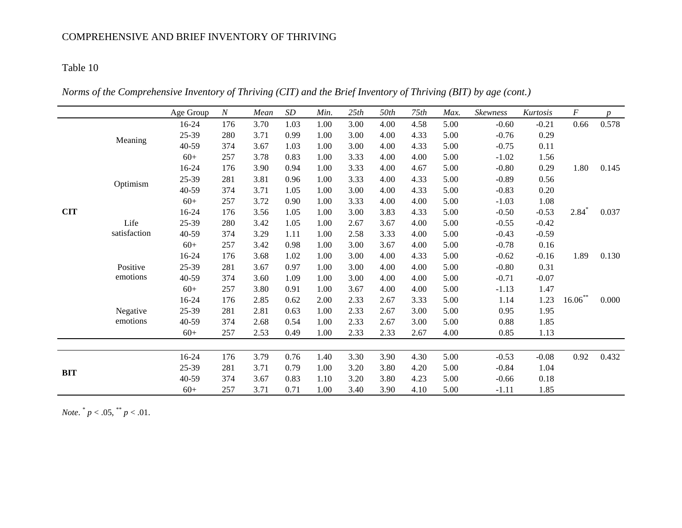# Table 10

*Norms of the Comprehensive Inventory of Thriving (CIT) and the Brief Inventory of Thriving (BIT) by age (cont.)*

|            |              | Age Group | $\boldsymbol{N}$ | Mean | SD   | Min. | 25th | 50th | 75th | Max. | Skewness | Kurtosis | F          | $\boldsymbol{p}$ |
|------------|--------------|-----------|------------------|------|------|------|------|------|------|------|----------|----------|------------|------------------|
|            |              | 16-24     | 176              | 3.70 | 1.03 | 1.00 | 3.00 | 4.00 | 4.58 | 5.00 | $-0.60$  | $-0.21$  | 0.66       | 0.578            |
|            | Meaning      | 25-39     | 280              | 3.71 | 0.99 | 1.00 | 3.00 | 4.00 | 4.33 | 5.00 | $-0.76$  | 0.29     |            |                  |
|            |              | 40-59     | 374              | 3.67 | 1.03 | 1.00 | 3.00 | 4.00 | 4.33 | 5.00 | $-0.75$  | 0.11     |            |                  |
|            |              | $60+$     | 257              | 3.78 | 0.83 | 1.00 | 3.33 | 4.00 | 4.00 | 5.00 | $-1.02$  | 1.56     |            |                  |
|            |              | 16-24     | 176              | 3.90 | 0.94 | 1.00 | 3.33 | 4.00 | 4.67 | 5.00 | $-0.80$  | 0.29     | 1.80       | 0.145            |
|            | Optimism     | 25-39     | 281              | 3.81 | 0.96 | 1.00 | 3.33 | 4.00 | 4.33 | 5.00 | $-0.89$  | 0.56     |            |                  |
|            |              | 40-59     | 374              | 3.71 | 1.05 | 1.00 | 3.00 | 4.00 | 4.33 | 5.00 | $-0.83$  | 0.20     |            |                  |
|            |              | $60+$     | 257              | 3.72 | 0.90 | 1.00 | 3.33 | 4.00 | 4.00 | 5.00 | $-1.03$  | 1.08     |            |                  |
| <b>CIT</b> |              | 16-24     | 176              | 3.56 | 1.05 | 1.00 | 3.00 | 3.83 | 4.33 | 5.00 | $-0.50$  | $-0.53$  | $2.84*$    | 0.037            |
|            | Life         | 25-39     | 280              | 3.42 | 1.05 | 1.00 | 2.67 | 3.67 | 4.00 | 5.00 | $-0.55$  | $-0.42$  |            |                  |
|            | satisfaction | 40-59     | 374              | 3.29 | 1.11 | 1.00 | 2.58 | 3.33 | 4.00 | 5.00 | $-0.43$  | $-0.59$  |            |                  |
|            |              | $60+$     | 257              | 3.42 | 0.98 | 1.00 | 3.00 | 3.67 | 4.00 | 5.00 | $-0.78$  | 0.16     |            |                  |
|            |              | 16-24     | 176              | 3.68 | 1.02 | 1.00 | 3.00 | 4.00 | 4.33 | 5.00 | $-0.62$  | $-0.16$  | 1.89       | 0.130            |
|            | Positive     | 25-39     | 281              | 3.67 | 0.97 | 1.00 | 3.00 | 4.00 | 4.00 | 5.00 | $-0.80$  | 0.31     |            |                  |
|            | emotions     | 40-59     | 374              | 3.60 | 1.09 | 1.00 | 3.00 | 4.00 | 4.00 | 5.00 | $-0.71$  | $-0.07$  |            |                  |
|            |              | $60+$     | 257              | 3.80 | 0.91 | 1.00 | 3.67 | 4.00 | 4.00 | 5.00 | $-1.13$  | 1.47     |            |                  |
|            |              | 16-24     | 176              | 2.85 | 0.62 | 2.00 | 2.33 | 2.67 | 3.33 | 5.00 | 1.14     | 1.23     | $16.06***$ | 0.000            |
|            | Negative     | 25-39     | 281              | 2.81 | 0.63 | 1.00 | 2.33 | 2.67 | 3.00 | 5.00 | 0.95     | 1.95     |            |                  |
|            | emotions     | 40-59     | 374              | 2.68 | 0.54 | 1.00 | 2.33 | 2.67 | 3.00 | 5.00 | 0.88     | 1.85     |            |                  |
|            |              | $60+$     | 257              | 2.53 | 0.49 | 1.00 | 2.33 | 2.33 | 2.67 | 4.00 | 0.85     | 1.13     |            |                  |
|            |              |           |                  |      |      |      |      |      |      |      |          |          |            |                  |
|            |              | 16-24     | 176              | 3.79 | 0.76 | 1.40 | 3.30 | 3.90 | 4.30 | 5.00 | $-0.53$  | $-0.08$  | 0.92       | 0.432            |
| <b>BIT</b> |              | 25-39     | 281              | 3.71 | 0.79 | 1.00 | 3.20 | 3.80 | 4.20 | 5.00 | $-0.84$  | 1.04     |            |                  |
|            |              | 40-59     | 374              | 3.67 | 0.83 | 1.10 | 3.20 | 3.80 | 4.23 | 5.00 | $-0.66$  | 0.18     |            |                  |
|            |              | $60+$     | 257              | 3.71 | 0.71 | 1.00 | 3.40 | 3.90 | 4.10 | 5.00 | $-1.11$  | 1.85     |            |                  |

*Note.*  $^{*}p < .05$ ,  $^{**}p < .01$ .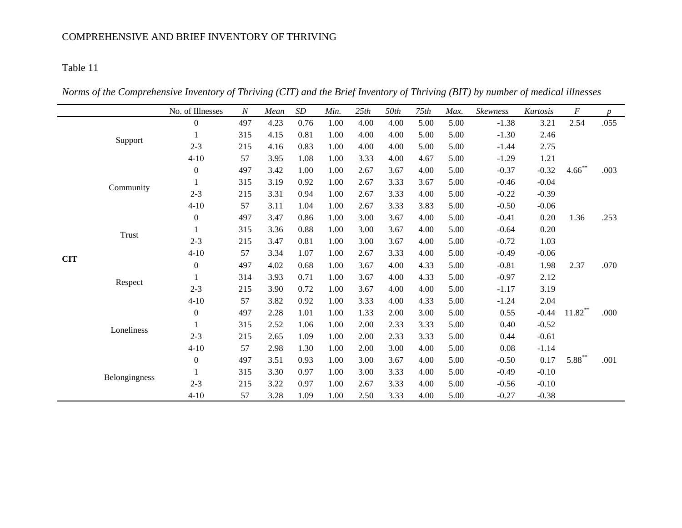*Norms of the Comprehensive Inventory of Thriving (CIT) and the Brief Inventory of Thriving (BIT) by number of medical illnesses*

|            |               | No. of Illnesses | $\boldsymbol{N}$ | Mean | SD   | Min. | 25th | 50th | 75th | Max. | Skewness | Kurtosis | $\cal F$   | $\mathcal{D}$ |
|------------|---------------|------------------|------------------|------|------|------|------|------|------|------|----------|----------|------------|---------------|
|            |               | $\overline{0}$   | 497              | 4.23 | 0.76 | 1.00 | 4.00 | 4.00 | 5.00 | 5.00 | $-1.38$  | 3.21     | 2.54       | .055          |
|            |               | 1                | 315              | 4.15 | 0.81 | 1.00 | 4.00 | 4.00 | 5.00 | 5.00 | $-1.30$  | 2.46     |            |               |
|            | Support       | $2 - 3$          | 215              | 4.16 | 0.83 | 1.00 | 4.00 | 4.00 | 5.00 | 5.00 | $-1.44$  | 2.75     |            |               |
|            |               | $4 - 10$         | 57               | 3.95 | 1.08 | 1.00 | 3.33 | 4.00 | 4.67 | 5.00 | $-1.29$  | 1.21     |            |               |
|            |               | $\boldsymbol{0}$ | 497              | 3.42 | 1.00 | 1.00 | 2.67 | 3.67 | 4.00 | 5.00 | $-0.37$  | $-0.32$  | $4.66$ **  | .003          |
|            | Community     |                  | 315              | 3.19 | 0.92 | 1.00 | 2.67 | 3.33 | 3.67 | 5.00 | $-0.46$  | $-0.04$  |            |               |
|            |               | $2 - 3$          | 215              | 3.31 | 0.94 | 1.00 | 2.67 | 3.33 | 4.00 | 5.00 | $-0.22$  | $-0.39$  |            |               |
|            |               | $4 - 10$         | 57               | 3.11 | 1.04 | 1.00 | 2.67 | 3.33 | 3.83 | 5.00 | $-0.50$  | $-0.06$  |            |               |
|            |               | $\boldsymbol{0}$ | 497              | 3.47 | 0.86 | 1.00 | 3.00 | 3.67 | 4.00 | 5.00 | $-0.41$  | 0.20     | 1.36       | .253          |
| <b>CIT</b> | <b>Trust</b>  | 1                | 315              | 3.36 | 0.88 | 1.00 | 3.00 | 3.67 | 4.00 | 5.00 | $-0.64$  | 0.20     |            |               |
|            |               | $2 - 3$          | 215              | 3.47 | 0.81 | 1.00 | 3.00 | 3.67 | 4.00 | 5.00 | $-0.72$  | 1.03     |            |               |
|            |               | $4 - 10$         | 57               | 3.34 | 1.07 | 1.00 | 2.67 | 3.33 | 4.00 | 5.00 | $-0.49$  | $-0.06$  |            |               |
|            |               | $\boldsymbol{0}$ | 497              | 4.02 | 0.68 | 1.00 | 3.67 | 4.00 | 4.33 | 5.00 | $-0.81$  | 1.98     | 2.37       | .070          |
|            | Respect       |                  | 314              | 3.93 | 0.71 | 1.00 | 3.67 | 4.00 | 4.33 | 5.00 | $-0.97$  | 2.12     |            |               |
|            |               | $2 - 3$          | 215              | 3.90 | 0.72 | 1.00 | 3.67 | 4.00 | 4.00 | 5.00 | $-1.17$  | 3.19     |            |               |
|            |               | $4 - 10$         | 57               | 3.82 | 0.92 | 1.00 | 3.33 | 4.00 | 4.33 | 5.00 | $-1.24$  | 2.04     |            |               |
|            |               | $\boldsymbol{0}$ | 497              | 2.28 | 1.01 | 1.00 | 1.33 | 2.00 | 3.00 | 5.00 | 0.55     | $-0.44$  | $11.82***$ | .000          |
|            | Loneliness    | 1                | 315              | 2.52 | 1.06 | 1.00 | 2.00 | 2.33 | 3.33 | 5.00 | 0.40     | $-0.52$  |            |               |
|            |               | $2 - 3$          | 215              | 2.65 | 1.09 | 1.00 | 2.00 | 2.33 | 3.33 | 5.00 | 0.44     | $-0.61$  |            |               |
|            |               | $4 - 10$         | 57               | 2.98 | 1.30 | 1.00 | 2.00 | 3.00 | 4.00 | 5.00 | 0.08     | $-1.14$  |            |               |
|            |               | $\boldsymbol{0}$ | 497              | 3.51 | 0.93 | 1.00 | 3.00 | 3.67 | 4.00 | 5.00 | $-0.50$  | 0.17     | $5.88***$  | .001          |
|            |               |                  | 315              | 3.30 | 0.97 | 1.00 | 3.00 | 3.33 | 4.00 | 5.00 | $-0.49$  | $-0.10$  |            |               |
|            | Belongingness | $2 - 3$          | 215              | 3.22 | 0.97 | 1.00 | 2.67 | 3.33 | 4.00 | 5.00 | $-0.56$  | $-0.10$  |            |               |
|            |               | $4 - 10$         | 57               | 3.28 | 1.09 | 1.00 | 2.50 | 3.33 | 4.00 | 5.00 | $-0.27$  | $-0.38$  |            |               |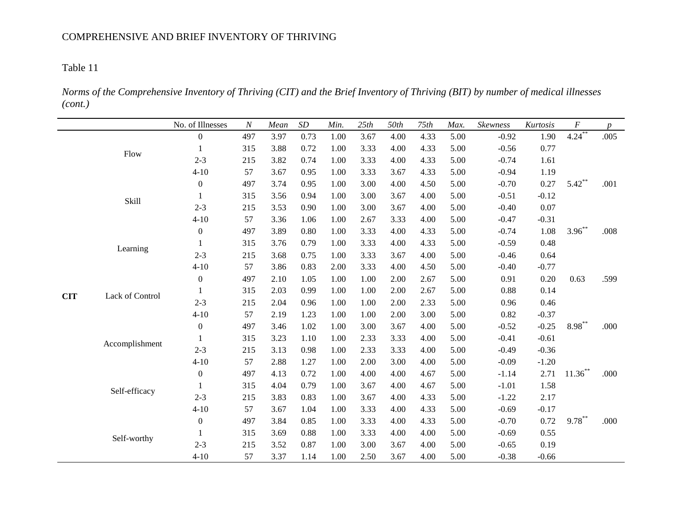*Norms of the Comprehensive Inventory of Thriving (CIT) and the Brief Inventory of Thriving (BIT) by number of medical illnesses (cont.)*

|             |                               | No. of Illnesses | $\cal N$ | Mean | $\cal SD$ | Min. | 25th | 50th | 75th | Max.    | Skewness | Kurtosis | $\cal F$   | $p_{\parallel}$ |
|-------------|-------------------------------|------------------|----------|------|-----------|------|------|------|------|---------|----------|----------|------------|-----------------|
|             |                               | $\boldsymbol{0}$ | 497      | 3.97 | 0.73      | 1.00 | 3.67 | 4.00 | 4.33 | 5.00    | $-0.92$  | 1.90     | $4.24***$  | .005            |
|             | Flow                          | $\mathbf{1}$     | 315      | 3.88 | 0.72      | 1.00 | 3.33 | 4.00 | 4.33 | 5.00    | $-0.56$  | 0.77     |            |                 |
|             |                               | $2 - 3$          | 215      | 3.82 | 0.74      | 1.00 | 3.33 | 4.00 | 4.33 | 5.00    | $-0.74$  | 1.61     |            |                 |
|             |                               | $4 - 10$         | 57       | 3.67 | 0.95      | 1.00 | 3.33 | 3.67 | 4.33 | 5.00    | $-0.94$  | 1.19     |            |                 |
|             |                               | $\boldsymbol{0}$ | 497      | 3.74 | 0.95      | 1.00 | 3.00 | 4.00 | 4.50 | 5.00    | $-0.70$  | 0.27     | $5.42***$  | .001            |
|             | Skill                         | 1                | 315      | 3.56 | 0.94      | 1.00 | 3.00 | 3.67 | 4.00 | 5.00    | $-0.51$  | $-0.12$  |            |                 |
|             |                               | $2 - 3$          | 215      | 3.53 | 0.90      | 1.00 | 3.00 | 3.67 | 4.00 | 5.00    | $-0.40$  | 0.07     |            |                 |
|             | Learning                      | $4 - 10$         | 57       | 3.36 | 1.06      | 1.00 | 2.67 | 3.33 | 4.00 | 5.00    | $-0.47$  | $-0.31$  |            |                 |
|             |                               | $\boldsymbol{0}$ | 497      | 3.89 | 0.80      | 1.00 | 3.33 | 4.00 | 4.33 | 5.00    | $-0.74$  | 1.08     | $3.96***$  | .008            |
|             |                               |                  | 315      | 3.76 | 0.79      | 1.00 | 3.33 | 4.00 | 4.33 | 5.00    | $-0.59$  | 0.48     |            |                 |
|             |                               | $2 - 3$          | 215      | 3.68 | 0.75      | 1.00 | 3.33 | 3.67 | 4.00 | 5.00    | $-0.46$  | 0.64     |            |                 |
|             | $4 - 10$                      | 57               | 3.86     | 0.83 | 2.00      | 3.33 | 4.00 | 4.50 | 5.00 | $-0.40$ | $-0.77$  |          |            |                 |
|             | $\boldsymbol{0}$              | 497              | 2.10     | 1.05 | 1.00      | 1.00 | 2.00 | 2.67 | 5.00 | 0.91    | 0.20     | 0.63     | .599       |                 |
|             | <b>CIT</b><br>Lack of Control | $\mathbf{1}$     | 315      | 2.03 | 0.99      | 1.00 | 1.00 | 2.00 | 2.67 | 5.00    | 0.88     | 0.14     |            |                 |
|             |                               | $2 - 3$          | 215      | 2.04 | 0.96      | 1.00 | 1.00 | 2.00 | 2.33 | 5.00    | 0.96     | 0.46     |            |                 |
|             |                               | $4 - 10$         | 57       | 2.19 | 1.23      | 1.00 | 1.00 | 2.00 | 3.00 | 5.00    | 0.82     | $-0.37$  |            |                 |
|             |                               | $\boldsymbol{0}$ | 497      | 3.46 | 1.02      | 1.00 | 3.00 | 3.67 | 4.00 | 5.00    | $-0.52$  | $-0.25$  | $8.98***$  | .000            |
|             | Accomplishment                | $\mathbf{1}$     | 315      | 3.23 | 1.10      | 1.00 | 2.33 | 3.33 | 4.00 | 5.00    | $-0.41$  | $-0.61$  |            |                 |
|             |                               | $2 - 3$          | 215      | 3.13 | 0.98      | 1.00 | 2.33 | 3.33 | 4.00 | 5.00    | $-0.49$  | $-0.36$  |            |                 |
|             |                               | $4 - 10$         | 57       | 2.88 | 1.27      | 1.00 | 2.00 | 3.00 | 4.00 | 5.00    | $-0.09$  | $-1.20$  |            |                 |
|             |                               | $\boldsymbol{0}$ | 497      | 4.13 | 0.72      | 1.00 | 4.00 | 4.00 | 4.67 | 5.00    | $-1.14$  | 2.71     | $11.36***$ | .000            |
|             | Self-efficacy                 | $\mathbf{1}$     | 315      | 4.04 | 0.79      | 1.00 | 3.67 | 4.00 | 4.67 | 5.00    | $-1.01$  | 1.58     |            |                 |
|             |                               | $2 - 3$          | 215      | 3.83 | 0.83      | 1.00 | 3.67 | 4.00 | 4.33 | 5.00    | $-1.22$  | 2.17     |            |                 |
|             |                               | $4 - 10$         | 57       | 3.67 | 1.04      | 1.00 | 3.33 | 4.00 | 4.33 | 5.00    | $-0.69$  | $-0.17$  |            |                 |
|             |                               | $\boldsymbol{0}$ | 497      | 3.84 | 0.85      | 1.00 | 3.33 | 4.00 | 4.33 | 5.00    | $-0.70$  | 0.72     | $9.78***$  | .000            |
|             |                               | 1                | 315      | 3.69 | 0.88      | 1.00 | 3.33 | 4.00 | 4.00 | 5.00    | $-0.69$  | 0.55     |            |                 |
| Self-worthy | $2 - 3$                       | 215              | 3.52     | 0.87 | 1.00      | 3.00 | 3.67 | 4.00 | 5.00 | $-0.65$ | 0.19     |          |            |                 |
|             | $4 - 10$                      | 57               | 3.37     | 1.14 | 1.00      | 2.50 | 3.67 | 4.00 | 5.00 | $-0.38$ | $-0.66$  |          |            |                 |